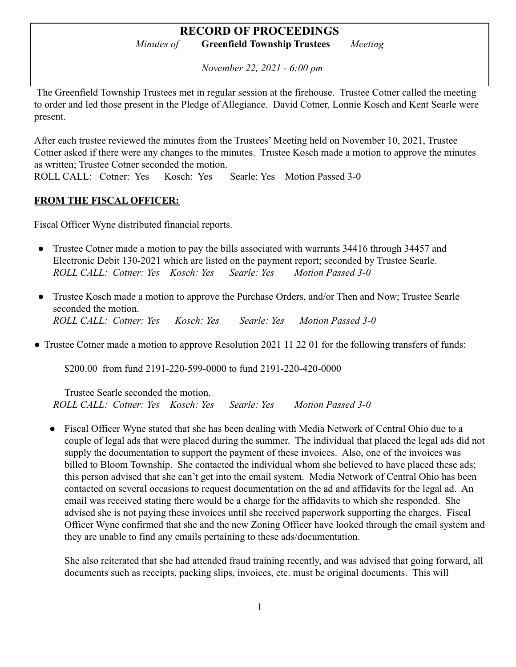*November 22, 2021 - 6:00 pm*

The Greenfield Township Trustees met in regular session at the firehouse. Trustee Cotner called the meeting to order and led those present in the Pledge of Allegiance. David Cotner, Lonnie Kosch and Kent Searle were present.

After each trustee reviewed the minutes from the Trustees' Meeting held on November 10, 2021, Trustee Cotner asked if there were any changes to the minutes. Trustee Kosch made a motion to approve the minutes as written; Trustee Cotner seconded the motion.

ROLL CALL: Cotner: Yes Kosch: Yes Searle: Yes Motion Passed 3-0

#### **FROM THE FISCAL OFFICER:**

Fiscal Officer Wyne distributed financial reports.

- Trustee Cotner made a motion to pay the bills associated with warrants 34416 through 34457 and Electronic Debit 130-2021 which are listed on the payment report; seconded by Trustee Searle. *ROLL CALL: Cotner: Yes Kosch: Yes Searle: Yes Motion Passed 3-0*
- Trustee Kosch made a motion to approve the Purchase Orders, and/or Then and Now; Trustee Searle seconded the motion. *ROLL CALL: Cotner: Yes Kosch: Yes Searle: Yes Motion Passed 3-0*
- Trustee Cotner made a motion to approve Resolution 2021 11 22 01 for the following transfers of funds:

\$200.00 from fund 2191-220-599-0000 to fund 2191-220-420-0000

Trustee Searle seconded the motion. *ROLL CALL: Cotner: Yes Kosch: Yes Searle: Yes Motion Passed 3-0*

● Fiscal Officer Wyne stated that she has been dealing with Media Network of Central Ohio due to a couple of legal ads that were placed during the summer. The individual that placed the legal ads did not supply the documentation to support the payment of these invoices. Also, one of the invoices was billed to Bloom Township. She contacted the individual whom she believed to have placed these ads; this person advised that she can't get into the email system. Media Network of Central Ohio has been contacted on several occasions to request documentation on the ad and affidavits for the legal ad. An email was received stating there would be a charge for the affidavits to which she responded. She advised she is not paying these invoices until she received paperwork supporting the charges. Fiscal Officer Wyne confirmed that she and the new Zoning Officer have looked through the email system and they are unable to find any emails pertaining to these ads/documentation.

She also reiterated that she had attended fraud training recently, and was advised that going forward, all documents such as receipts, packing slips, invoices, etc. must be original documents. This will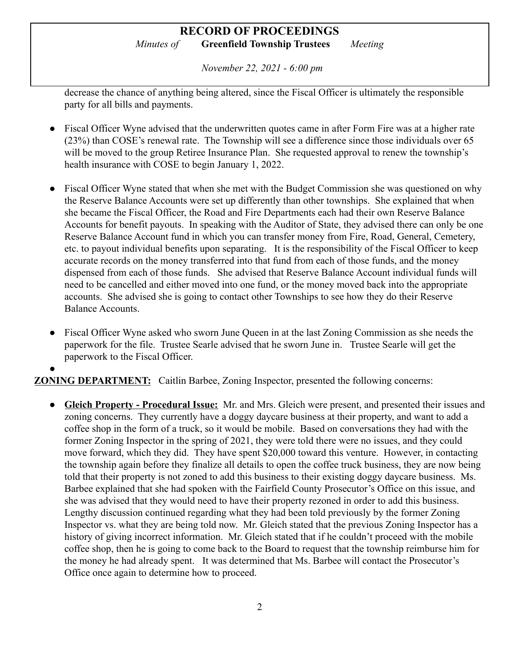*November 22, 2021 - 6:00 pm*

decrease the chance of anything being altered, since the Fiscal Officer is ultimately the responsible party for all bills and payments.

- Fiscal Officer Wyne advised that the underwritten quotes came in after Form Fire was at a higher rate (23%) than COSE's renewal rate. The Township will see a difference since those individuals over 65 will be moved to the group Retiree Insurance Plan. She requested approval to renew the township's health insurance with COSE to begin January 1, 2022.
- *●* Fiscal Officer Wyne stated that when she met with the Budget Commission she was questioned on why the Reserve Balance Accounts were set up differently than other townships. She explained that when she became the Fiscal Officer, the Road and Fire Departments each had their own Reserve Balance Accounts for benefit payouts. In speaking with the Auditor of State, they advised there can only be one Reserve Balance Account fund in which you can transfer money from Fire, Road, General, Cemetery, etc. to payout individual benefits upon separating. It is the responsibility of the Fiscal Officer to keep accurate records on the money transferred into that fund from each of those funds, and the money dispensed from each of those funds. She advised that Reserve Balance Account individual funds will need to be cancelled and either moved into one fund, or the money moved back into the appropriate accounts. She advised she is going to contact other Townships to see how they do their Reserve Balance Accounts.
- *●* Fiscal Officer Wyne asked who sworn June Queen in at the last Zoning Commission as she needs the paperwork for the file. Trustee Searle advised that he sworn June in. Trustee Searle will get the paperwork to the Fiscal Officer.

**ZONING DEPARTMENT:** Caitlin Barbee, Zoning Inspector, presented the following concerns:

*●*

**● Gleich Property - Procedural Issue:** Mr. and Mrs. Gleich were present, and presented their issues and zoning concerns. They currently have a doggy daycare business at their property, and want to add a coffee shop in the form of a truck, so it would be mobile. Based on conversations they had with the former Zoning Inspector in the spring of 2021, they were told there were no issues, and they could move forward, which they did. They have spent \$20,000 toward this venture. However, in contacting the township again before they finalize all details to open the coffee truck business, they are now being told that their property is not zoned to add this business to their existing doggy daycare business. Ms. Barbee explained that she had spoken with the Fairfield County Prosecutor's Office on this issue, and she was advised that they would need to have their property rezoned in order to add this business. Lengthy discussion continued regarding what they had been told previously by the former Zoning Inspector vs. what they are being told now. Mr. Gleich stated that the previous Zoning Inspector has a history of giving incorrect information. Mr. Gleich stated that if he couldn't proceed with the mobile coffee shop, then he is going to come back to the Board to request that the township reimburse him for the money he had already spent. It was determined that Ms. Barbee will contact the Prosecutor's Office once again to determine how to proceed.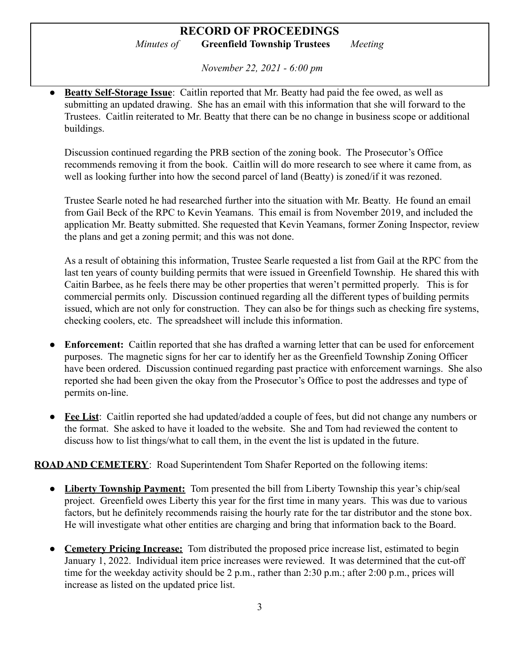*November 22, 2021 - 6:00 pm*

● **Beatty Self-Storage Issue**: Caitlin reported that Mr. Beatty had paid the fee owed, as well as submitting an updated drawing. She has an email with this information that she will forward to the Trustees. Caitlin reiterated to Mr. Beatty that there can be no change in business scope or additional buildings.

Discussion continued regarding the PRB section of the zoning book. The Prosecutor's Office recommends removing it from the book. Caitlin will do more research to see where it came from, as well as looking further into how the second parcel of land (Beatty) is zoned/if it was rezoned.

Trustee Searle noted he had researched further into the situation with Mr. Beatty. He found an email from Gail Beck of the RPC to Kevin Yeamans. This email is from November 2019, and included the application Mr. Beatty submitted. She requested that Kevin Yeamans, former Zoning Inspector, review the plans and get a zoning permit; and this was not done.

As a result of obtaining this information, Trustee Searle requested a list from Gail at the RPC from the last ten years of county building permits that were issued in Greenfield Township. He shared this with Caitin Barbee, as he feels there may be other properties that weren't permitted properly. This is for commercial permits only. Discussion continued regarding all the different types of building permits issued, which are not only for construction. They can also be for things such as checking fire systems, checking coolers, etc. The spreadsheet will include this information.

- **Enforcement:** Caitlin reported that she has drafted a warning letter that can be used for enforcement purposes. The magnetic signs for her car to identify her as the Greenfield Township Zoning Officer have been ordered. Discussion continued regarding past practice with enforcement warnings. She also reported she had been given the okay from the Prosecutor's Office to post the addresses and type of permits on-line.
- **Fee List**: Caitlin reported she had updated/added a couple of fees, but did not change any numbers or the format. She asked to have it loaded to the website. She and Tom had reviewed the content to discuss how to list things/what to call them, in the event the list is updated in the future.

#### **ROAD AND CEMETERY**: Road Superintendent Tom Shafer Reported on the following items:

- **● Liberty Township Payment:** Tom presented the bill from Liberty Township this year's chip/seal project. Greenfield owes Liberty this year for the first time in many years. This was due to various factors, but he definitely recommends raising the hourly rate for the tar distributor and the stone box. He will investigate what other entities are charging and bring that information back to the Board.
- **● Cemetery Pricing Increase:** Tom distributed the proposed price increase list, estimated to begin January 1, 2022. Individual item price increases were reviewed. It was determined that the cut-off time for the weekday activity should be 2 p.m., rather than 2:30 p.m.; after 2:00 p.m., prices will increase as listed on the updated price list.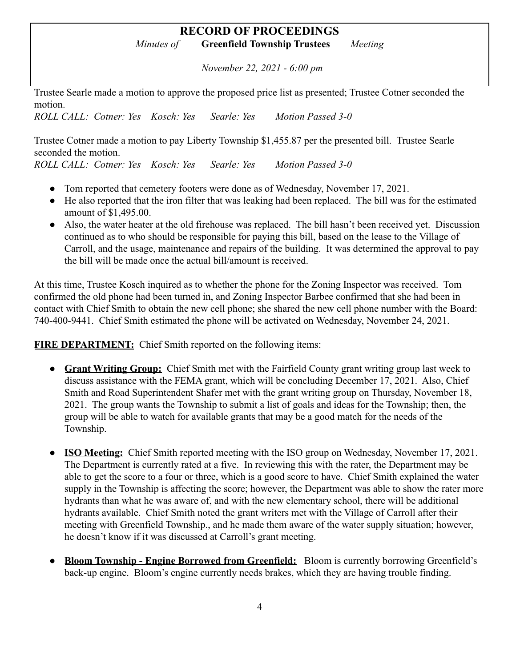# **RECORD OF PROCEEDINGS**

*Minutes of* **Greenfield Township Trustees** *Meeting*

*November 22, 2021 - 6:00 pm*

Trustee Searle made a motion to approve the proposed price list as presented; Trustee Cotner seconded the motion.

*ROLL CALL: Cotner: Yes Kosch: Yes Searle: Yes Motion Passed 3-0*

Trustee Cotner made a motion to pay Liberty Township \$1,455.87 per the presented bill. Trustee Searle seconded the motion. *ROLL CALL: Cotner: Yes Kosch: Yes Searle: Yes Motion Passed 3-0*

• Tom reported that cemetery footers were done as of Wednesday, November 17, 2021.

- He also reported that the iron filter that was leaking had been replaced. The bill was for the estimated amount of \$1,495.00.
- Also, the water heater at the old firehouse was replaced. The bill hasn't been received yet. Discussion continued as to who should be responsible for paying this bill, based on the lease to the Village of Carroll, and the usage, maintenance and repairs of the building. It was determined the approval to pay the bill will be made once the actual bill/amount is received.

At this time, Trustee Kosch inquired as to whether the phone for the Zoning Inspector was received. Tom confirmed the old phone had been turned in, and Zoning Inspector Barbee confirmed that she had been in contact with Chief Smith to obtain the new cell phone; she shared the new cell phone number with the Board: 740-400-9441. Chief Smith estimated the phone will be activated on Wednesday, November 24, 2021.

**FIRE DEPARTMENT:** Chief Smith reported on the following items:

- **Grant Writing Group:** Chief Smith met with the Fairfield County grant writing group last week to discuss assistance with the FEMA grant, which will be concluding December 17, 2021. Also, Chief Smith and Road Superintendent Shafer met with the grant writing group on Thursday, November 18, 2021. The group wants the Township to submit a list of goals and ideas for the Township; then, the group will be able to watch for available grants that may be a good match for the needs of the Township.
- **ISO Meeting:** Chief Smith reported meeting with the ISO group on Wednesday, November 17, 2021. The Department is currently rated at a five. In reviewing this with the rater, the Department may be able to get the score to a four or three, which is a good score to have. Chief Smith explained the water supply in the Township is affecting the score; however, the Department was able to show the rater more hydrants than what he was aware of, and with the new elementary school, there will be additional hydrants available. Chief Smith noted the grant writers met with the Village of Carroll after their meeting with Greenfield Township., and he made them aware of the water supply situation; however, he doesn't know if it was discussed at Carroll's grant meeting.
- **Bloom Township Engine Borrowed from Greenfield:** Bloom is currently borrowing Greenfield's back-up engine. Bloom's engine currently needs brakes, which they are having trouble finding.